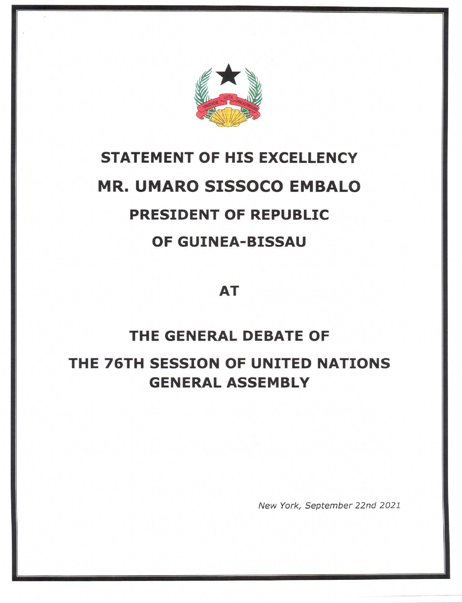

# STATEMENT OF HIS EXCELLENCY MR. UMARO SISSOCO EMBALO PRESIDENT OF REPUBLIC OF GUINEA-BISSAU

AT

# THE GENERAL DEBATE OF THE 76TH SESSION OF UNITED NATIONS GENERAL ASSEMBLY

New York, September 22nd 2021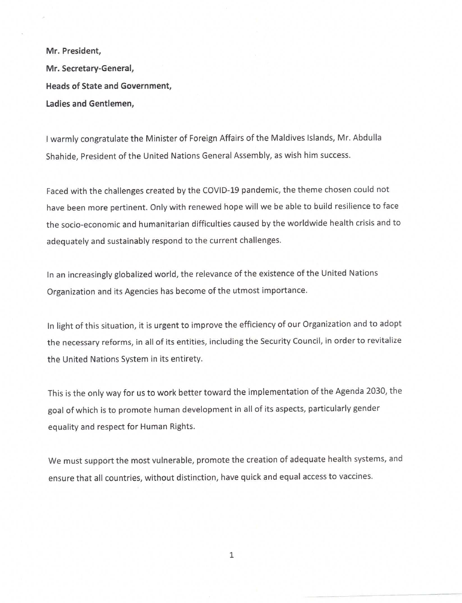Mr. President, Mr. Secretary-General, Heads of State and Government, Ladies and Gentlemen,

| warmly congratulate the Minister of Foreign Affairs of the Maldives Islands, Mr. Abdulla Shahide, President of the United Nations General Assembly, as wish him success.

Faced with the challenges created by the COVID-19 pandemic, the theme chosen could not have been more pertinent. Only with renewed hope will we be able to build resilience to face the socio-economic and humanitarian difficulties caused by the worldwide health crisis and to adequately and sustainably respond to the current challenges.

In an increasingly globalized world, the relevance of the existence of the United Nations Organization and its Agencies has become of the utmost importance.

in light of this situation, it is urgent to improve the efficiency of our Organization and to adopt the necessary reforms, in all of its entities, including the Security Council, in order to revitalize the United Nations System in its entirety.

This is the only way for us to work better toward the implementation of the Agenda 2030, the goal of which is to promote human development in all of its aspects, particularly gender equality and respect for Human Rights.

We must support the most vulnerable, promote the creation of adequate health systems, and ensure that all countries, without distinction, have quick and equal access to vaccines.